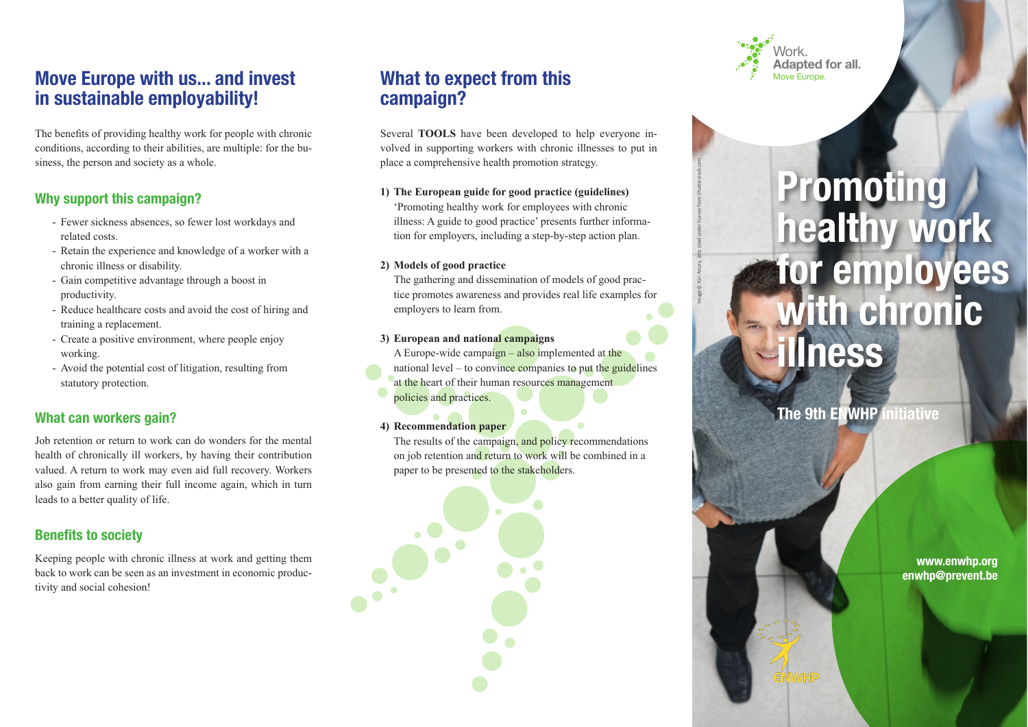# **Move Europe with us... and invest <b>Move Europe.** What to expect from this **Move Europe. in sustainable employability!**

The benefits of providing healthy work for people with chronic conditions, according to their abilities, are multiple: for the business, the person and society as a whole.

## **Why support this campaign?**

- Fewer sickness absences, so fewer lost workdays and related costs
- Retain the experience and knowledge of a worker with a chronic illness or disability.
- Gain competitive advantage through a boost in productivity.
- Reduce healthcare costs and avoid the cost of hiring and training a replacement.
- Create a positive environment, where people enjoy working.
- Avoid the potential cost of litigation, resulting from statutory protection.

## **What can workers gain?**

Job retention or return to work can do wonders for the mental health of chronically ill workers, by having their contribution valued. A return to work may even aid full recovery. Workers also gain from earning their full income again, which in turn leads to a better quality of life.

## **Benefits to society**

Keeping people with chronic illness at work and getting them back to work can be seen as an investment in economic productivity and social cohesion!

# **What to expect from this campaign?**

Several **TOOLS** have been developed to help everyone involved in supporting workers with chronic illnesses to put in place a comprehensive health promotion strategy.

#### **1) The European guide for good practice (guidelines)**

Promoting healthy work for employees with chronic illness: A guide to good practice' presents further information for employers, including a step-by-step action plan.

#### **2) Models of good practice**

The gathering and dissemination of models of good practice promotes awareness and provides real life examples for employers to learn from.

#### **3) European and national campaigns**

A Europe-wide campaign  $-$  also implemented at the national level  $-$  to convince companies to put the guidelines at the heart of their human resources management policies and practices.

## **4) Recommendation paper**

The results of the campaign, and policy recommendations on job retention and return to work will be combined in a paper to be presented to the stakeholders.



Image © Yuri Arcurs, 2012 Used under license from Shutterstock.com

# **Promoting healthy work for employees with chronic illness**

**The 9th ENWHP initiative**

**www.enwhp.org enwhp@prevent.be**